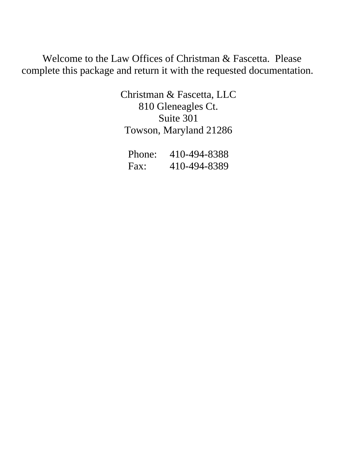Welcome to the Law Offices of Christman & Fascetta. Please complete this package and return it with the requested documentation.

> Christman & Fascetta, LLC 810 Gleneagles Ct. Suite 301 Towson, Maryland 21286

| Phone: | 410-494-8388 |
|--------|--------------|
| Fax:   | 410-494-8389 |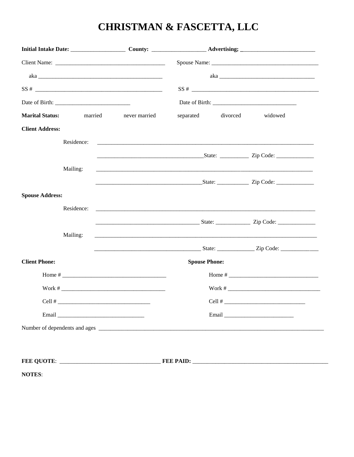### **CHRISTMAN & FASCETTA, LLC**

| <b>Marital Status:</b> | married    | never married          | separated            | divorced | widowed                                                                                                                                                                                                                              |
|------------------------|------------|------------------------|----------------------|----------|--------------------------------------------------------------------------------------------------------------------------------------------------------------------------------------------------------------------------------------|
| <b>Client Address:</b> |            |                        |                      |          |                                                                                                                                                                                                                                      |
|                        | Residence: |                        |                      |          |                                                                                                                                                                                                                                      |
|                        |            |                        |                      |          | <u>Contract and State: Contract and State:</u> Contract and State: Contract and State: Contract and State: Contract and State: Contract and State: Contract and State: Contract and State: Contract and State: Contract and State:   |
|                        | Mailing:   |                        |                      |          |                                                                                                                                                                                                                                      |
|                        |            |                        |                      |          |                                                                                                                                                                                                                                      |
| <b>Spouse Address:</b> |            |                        |                      |          |                                                                                                                                                                                                                                      |
|                        | Residence: |                        |                      |          |                                                                                                                                                                                                                                      |
|                        |            |                        |                      |          |                                                                                                                                                                                                                                      |
|                        | Mailing:   |                        |                      |          |                                                                                                                                                                                                                                      |
|                        |            |                        |                      |          | <u>Example 21   Code: 2000   Code: 2000   Code: 2000   Code: 2000   Code: 2000   Code: 2000   Code: 2000   Code: 2000   Code: 2000   Code: 2000   Code: 2000   Code: 2000   Code: 2000   Code: 2000   Code: 2000   Code: 2000   </u> |
| <b>Client Phone:</b>   |            |                        | <b>Spouse Phone:</b> |          |                                                                                                                                                                                                                                      |
|                        |            |                        |                      |          |                                                                                                                                                                                                                                      |
|                        |            |                        |                      |          |                                                                                                                                                                                                                                      |
|                        |            | Cell # $\qquad \qquad$ |                      |          | Cell #                                                                                                                                                                                                                               |
|                        |            |                        |                      |          |                                                                                                                                                                                                                                      |
|                        |            |                        |                      |          |                                                                                                                                                                                                                                      |
|                        |            |                        |                      |          |                                                                                                                                                                                                                                      |
|                        |            |                        |                      |          |                                                                                                                                                                                                                                      |

**NOTES:**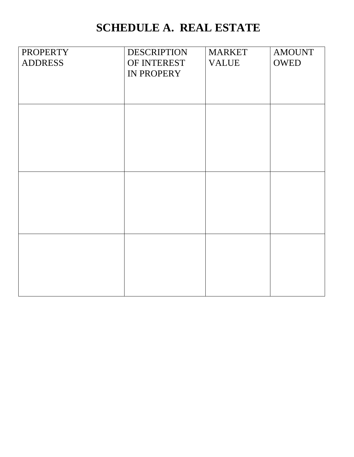## **SCHEDULE A. REAL ESTATE**

| <b>PROPERTY</b> | <b>DESCRIPTION</b> | <b>MARKET</b> | <b>AMOUNT</b> |
|-----------------|--------------------|---------------|---------------|
| <b>ADDRESS</b>  | OF INTEREST        | <b>VALUE</b>  | <b>OWED</b>   |
|                 | IN PROPERY         |               |               |
|                 |                    |               |               |
|                 |                    |               |               |
|                 |                    |               |               |
|                 |                    |               |               |
|                 |                    |               |               |
|                 |                    |               |               |
|                 |                    |               |               |
|                 |                    |               |               |
|                 |                    |               |               |
|                 |                    |               |               |
|                 |                    |               |               |
|                 |                    |               |               |
|                 |                    |               |               |
|                 |                    |               |               |
|                 |                    |               |               |
|                 |                    |               |               |
|                 |                    |               |               |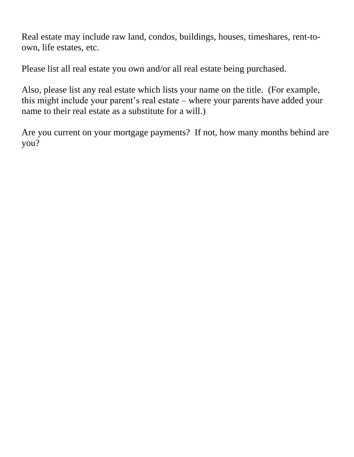Real estate may include raw land, condos, buildings, houses, timeshares, rent-toown, life estates, etc.

Please list all real estate you own and/or all real estate being purchased.

Also, please list any real estate which lists your name on the title. (For example, this might include your parent's real estate – where your parents have added your name to their real estate as a substitute for a will.)

Are you current on your mortgage payments? If not, how many months behind are you?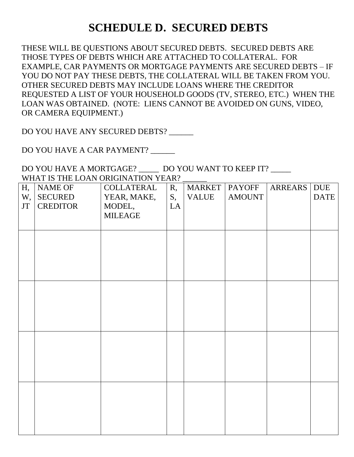### **SCHEDULE D. SECURED DEBTS**

THESE WILL BE QUESTIONS ABOUT SECURED DEBTS. SECURED DEBTS ARE THOSE TYPES OF DEBTS WHICH ARE ATTACHED TO COLLATERAL. FOR EXAMPLE, CAR PAYMENTS OR MORTGAGE PAYMENTS ARE SECURED DEBTS – IF YOU DO NOT PAY THESE DEBTS, THE COLLATERAL WILL BE TAKEN FROM YOU. OTHER SECURED DEBTS MAY INCLUDE LOANS WHERE THE CREDITOR REQUESTED A LIST OF YOUR HOUSEHOLD GOODS (TV, STEREO, ETC.) WHEN THE LOAN WAS OBTAINED. (NOTE: LIENS CANNOT BE AVOIDED ON GUNS, VIDEO, OR CAMERA EQUIPMENT.)

DO YOU HAVE ANY SECURED DEBTS?

DO YOU HAVE A CAR PAYMENT?

DO YOU HAVE A MORTGAGE? DO YOU WANT TO KEEP IT? WHAT IS THE LOAN ORIGINATION YEAR?

|                        |                 | "THE REAL BOTH'S CHIOLITION TEAM. |    |               |               |                |             |
|------------------------|-----------------|-----------------------------------|----|---------------|---------------|----------------|-------------|
| Н,                     | NAME OF         | COLLATERAL                        | R, | <b>MARKET</b> | <b>PAYOFF</b> | <b>ARREARS</b> | <b>DUE</b>  |
| W,                     | SECURED         | YEAR, MAKE,                       | S, | <b>VALUE</b>  | <b>AMOUNT</b> |                | <b>DATE</b> |
| $\mathbf{J}\mathbf{T}$ | <b>CREDITOR</b> | MODEL,                            | LA |               |               |                |             |
|                        |                 | <b>MILEAGE</b>                    |    |               |               |                |             |
|                        |                 |                                   |    |               |               |                |             |
|                        |                 |                                   |    |               |               |                |             |
|                        |                 |                                   |    |               |               |                |             |
|                        |                 |                                   |    |               |               |                |             |
|                        |                 |                                   |    |               |               |                |             |
|                        |                 |                                   |    |               |               |                |             |
|                        |                 |                                   |    |               |               |                |             |
|                        |                 |                                   |    |               |               |                |             |
|                        |                 |                                   |    |               |               |                |             |
|                        |                 |                                   |    |               |               |                |             |
|                        |                 |                                   |    |               |               |                |             |
|                        |                 |                                   |    |               |               |                |             |
|                        |                 |                                   |    |               |               |                |             |
|                        |                 |                                   |    |               |               |                |             |
|                        |                 |                                   |    |               |               |                |             |
|                        |                 |                                   |    |               |               |                |             |
|                        |                 |                                   |    |               |               |                |             |
|                        |                 |                                   |    |               |               |                |             |
|                        |                 |                                   |    |               |               |                |             |
|                        |                 |                                   |    |               |               |                |             |
|                        |                 |                                   |    |               |               |                |             |
|                        |                 |                                   |    |               |               |                |             |
|                        |                 |                                   |    |               |               |                |             |
|                        |                 |                                   |    |               |               |                |             |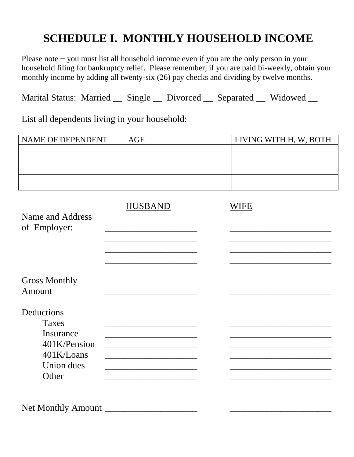### **SCHEDULE I. MONTHLY HOUSEHOLD INCOME**

Please note − you must list all household income even if you are the only person in your household filing for bankruptcy relief. Please remember, if you are paid bi-weekly, obtain your monthly income by adding all twenty-six (26) pay checks and dividing by twelve months.

Marital Status: Married \_\_ Single \_\_ Divorced \_\_ Separated \_\_ Widowed \_\_

List all dependents living in your household:

| NAME OF DEPENDENT                | AGE            | LIVING WITH H, W, BOTH |
|----------------------------------|----------------|------------------------|
|                                  |                |                        |
|                                  |                |                        |
|                                  |                |                        |
| Name and Address<br>of Employer: | <b>HUSBAND</b> | <b>WIFE</b>            |
|                                  |                |                        |
| <b>Gross Monthly</b><br>Amount   |                |                        |
| Deductions                       |                |                        |
| <b>Taxes</b><br>Insurance        |                |                        |
| 401K/Pension<br>401K/Loans       |                |                        |
| Union dues<br>Other              |                |                        |
|                                  |                |                        |
| <b>Net Monthly Amount</b>        |                |                        |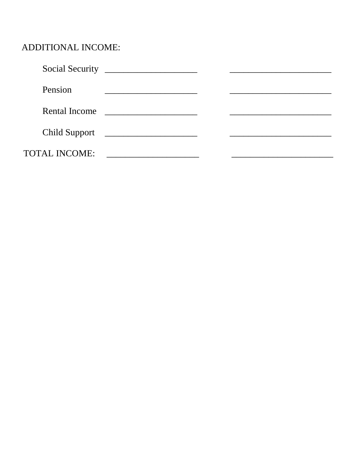#### ADDITIONAL INCOME:

| Pension              |                                               |  |  |
|----------------------|-----------------------------------------------|--|--|
| Rental Income        | <u> 1980 - Jan James Barbara, president p</u> |  |  |
|                      | Child Support                                 |  |  |
| <b>TOTAL INCOME:</b> |                                               |  |  |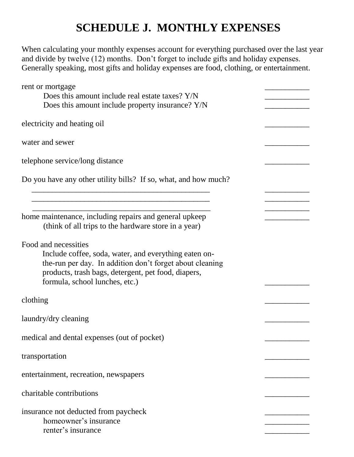### **SCHEDULE J. MONTHLY EXPENSES**

When calculating your monthly expenses account for everything purchased over the last year and divide by twelve (12) months. Don't forget to include gifts and holiday expenses. Generally speaking, most gifts and holiday expenses are food, clothing, or entertainment.

| rent or mortgage                                                                                                                                                                                                                   |  |
|------------------------------------------------------------------------------------------------------------------------------------------------------------------------------------------------------------------------------------|--|
| Does this amount include real estate taxes? Y/N                                                                                                                                                                                    |  |
| Does this amount include property insurance? Y/N                                                                                                                                                                                   |  |
| electricity and heating oil                                                                                                                                                                                                        |  |
| water and sewer                                                                                                                                                                                                                    |  |
| telephone service/long distance                                                                                                                                                                                                    |  |
| Do you have any other utility bills? If so, what, and how much?                                                                                                                                                                    |  |
|                                                                                                                                                                                                                                    |  |
| home maintenance, including repairs and general upkeep<br>(think of all trips to the hardware store in a year)                                                                                                                     |  |
| Food and necessities<br>Include coffee, soda, water, and everything eaten on-<br>the-run per day. In addition don't forget about cleaning<br>products, trash bags, detergent, pet food, diapers,<br>formula, school lunches, etc.) |  |
| clothing                                                                                                                                                                                                                           |  |
| laundry/dry cleaning                                                                                                                                                                                                               |  |
| medical and dental expenses (out of pocket)                                                                                                                                                                                        |  |
| transportation                                                                                                                                                                                                                     |  |
| entertainment, recreation, newspapers                                                                                                                                                                                              |  |
| charitable contributions                                                                                                                                                                                                           |  |
| insurance not deducted from paycheck<br>homeowner's insurance<br>renter's insurance                                                                                                                                                |  |
|                                                                                                                                                                                                                                    |  |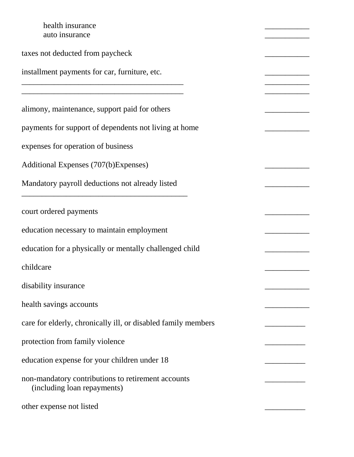health insurance auto insurance taxes not deducted from paycheck installment payments for car, furniture, etc. \_\_\_\_\_\_\_\_\_\_\_\_\_\_\_\_\_\_\_\_\_\_\_\_\_\_\_\_\_\_\_\_\_\_\_\_\_\_\_\_ \_\_\_\_\_\_\_\_\_\_\_ \_\_\_\_\_\_\_\_\_\_\_\_\_\_\_\_\_\_\_\_\_\_\_\_\_\_\_\_\_\_\_\_\_\_\_\_\_\_\_\_ \_\_\_\_\_\_\_\_\_\_\_ alimony, maintenance, support paid for others payments for support of dependents not living at home expenses for operation of business Additional Expenses (707(b)Expenses) \_\_\_\_\_\_\_\_\_\_\_ Mandatory payroll deductions not already listed \_\_\_\_\_\_\_\_\_\_\_\_\_\_\_\_\_\_\_\_\_\_\_\_\_\_\_\_\_\_\_\_\_\_\_\_\_\_\_\_\_ court ordered payments \_\_\_\_\_\_\_\_\_\_\_ education necessary to maintain employment \_\_\_\_\_\_\_\_\_\_\_ education for a physically or mentally challenged child \_\_\_\_\_\_\_\_\_\_\_ childcare **and the contract of the contract of the contract of the contract of the contract of the contract of the contract of the contract of the contract of the contract of the contract of the contract of the contract of** disability insurance health savings accounts care for elderly, chronically ill, or disabled family members protection from family violence education expense for your children under 18 \_\_\_\_\_\_\_\_\_\_ non-mandatory contributions to retirement accounts \_\_\_\_\_\_\_\_\_\_ (including loan repayments) other expense not listed \_\_\_\_\_\_\_\_\_\_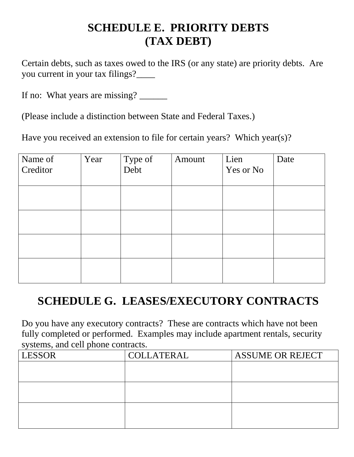### **SCHEDULE E. PRIORITY DEBTS (TAX DEBT)**

Certain debts, such as taxes owed to the IRS (or any state) are priority debts. Are you current in your tax filings?\_\_\_\_

If no: What years are missing?

(Please include a distinction between State and Federal Taxes.)

Have you received an extension to file for certain years? Which year(s)?

| Name of<br>Creditor | Year | Type of<br>Debt | Amount | Lien<br>Yes or No | Date |
|---------------------|------|-----------------|--------|-------------------|------|
|                     |      |                 |        |                   |      |
|                     |      |                 |        |                   |      |
|                     |      |                 |        |                   |      |
|                     |      |                 |        |                   |      |

#### **SCHEDULE G. LEASES/EXECUTORY CONTRACTS**

Do you have any executory contracts? These are contracts which have not been fully completed or performed. Examples may include apartment rentals, security systems, and cell phone contracts.

| <b>LESSOR</b> | <b>COLLATERAL</b> | <b>ASSUME OR REJECT</b> |
|---------------|-------------------|-------------------------|
|               |                   |                         |
|               |                   |                         |
|               |                   |                         |
|               |                   |                         |
|               |                   |                         |
|               |                   |                         |
|               |                   |                         |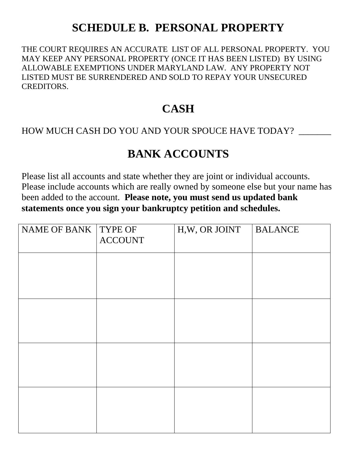### **SCHEDULE B. PERSONAL PROPERTY**

THE COURT REQUIRES AN ACCURATE LIST OF ALL PERSONAL PROPERTY. YOU MAY KEEP ANY PERSONAL PROPERTY (ONCE IT HAS BEEN LISTED) BY USING ALLOWABLE EXEMPTIONS UNDER MARYLAND LAW. ANY PROPERTY NOT LISTED MUST BE SURRENDERED AND SOLD TO REPAY YOUR UNSECURED CREDITORS.

#### **CASH**

#### HOW MUCH CASH DO YOU AND YOUR SPOUCE HAVE TODAY?

#### **BANK ACCOUNTS**

Please list all accounts and state whether they are joint or individual accounts. Please include accounts which are really owned by someone else but your name has been added to the account. **Please note, you must send us updated bank statements once you sign your bankruptcy petition and schedules.**

| NAME OF BANK   TYPE OF<br><b>ACCOUNT</b> | H,W, OR JOINT | <b>BALANCE</b> |
|------------------------------------------|---------------|----------------|
|                                          |               |                |
|                                          |               |                |
|                                          |               |                |
|                                          |               |                |
|                                          |               |                |
|                                          |               |                |
|                                          |               |                |
|                                          |               |                |
|                                          |               |                |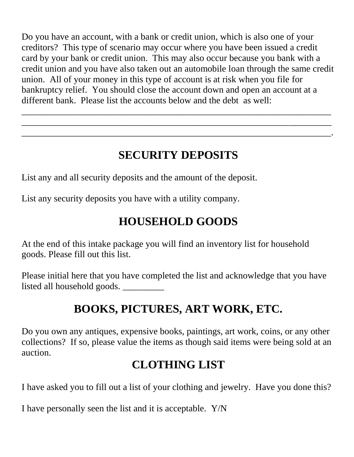Do you have an account, with a bank or credit union, which is also one of your creditors? This type of scenario may occur where you have been issued a credit card by your bank or credit union. This may also occur because you bank with a credit union and you have also taken out an automobile loan through the same credit union. All of your money in this type of account is at risk when you file for bankruptcy relief. You should close the account down and open an account at a different bank. Please list the accounts below and the debt as well:

\_\_\_\_\_\_\_\_\_\_\_\_\_\_\_\_\_\_\_\_\_\_\_\_\_\_\_\_\_\_\_\_\_\_\_\_\_\_\_\_\_\_\_\_\_\_\_\_\_\_\_\_\_\_\_\_\_\_\_\_\_\_\_\_\_\_\_ \_\_\_\_\_\_\_\_\_\_\_\_\_\_\_\_\_\_\_\_\_\_\_\_\_\_\_\_\_\_\_\_\_\_\_\_\_\_\_\_\_\_\_\_\_\_\_\_\_\_\_\_\_\_\_\_\_\_\_\_\_\_\_\_\_\_\_ \_\_\_\_\_\_\_\_\_\_\_\_\_\_\_\_\_\_\_\_\_\_\_\_\_\_\_\_\_\_\_\_\_\_\_\_\_\_\_\_\_\_\_\_\_\_\_\_\_\_\_\_\_\_\_\_\_\_\_\_\_\_\_\_\_\_\_.

# **SECURITY DEPOSITS**

List any and all security deposits and the amount of the deposit.

List any security deposits you have with a utility company.

## **HOUSEHOLD GOODS**

At the end of this intake package you will find an inventory list for household goods. Please fill out this list.

Please initial here that you have completed the list and acknowledge that you have listed all household goods. \_\_\_\_\_\_\_\_\_

# **BOOKS, PICTURES, ART WORK, ETC.**

Do you own any antiques, expensive books, paintings, art work, coins, or any other collections? If so, please value the items as though said items were being sold at an auction.

### **CLOTHING LIST**

I have asked you to fill out a list of your clothing and jewelry. Have you done this?

I have personally seen the list and it is acceptable. Y/N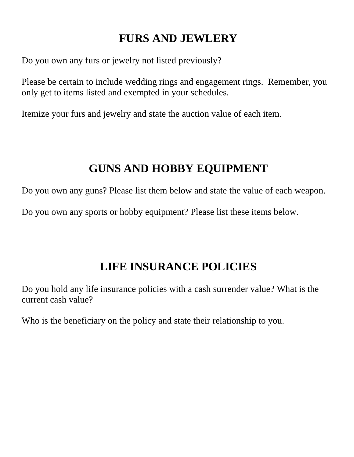### **FURS AND JEWLERY**

Do you own any furs or jewelry not listed previously?

Please be certain to include wedding rings and engagement rings. Remember, you only get to items listed and exempted in your schedules.

Itemize your furs and jewelry and state the auction value of each item.

### **GUNS AND HOBBY EQUIPMENT**

Do you own any guns? Please list them below and state the value of each weapon.

Do you own any sports or hobby equipment? Please list these items below.

#### **LIFE INSURANCE POLICIES**

Do you hold any life insurance policies with a cash surrender value? What is the current cash value?

Who is the beneficiary on the policy and state their relationship to you.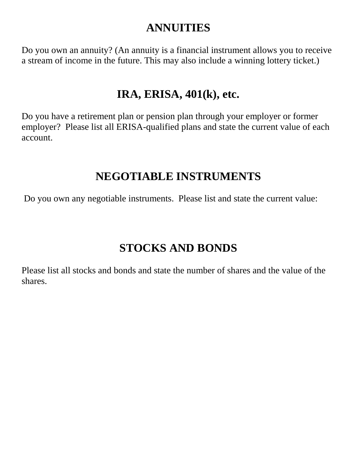#### **ANNUITIES**

Do you own an annuity? (An annuity is a financial instrument allows you to receive a stream of income in the future. This may also include a winning lottery ticket.)

#### **IRA, ERISA, 401(k), etc.**

Do you have a retirement plan or pension plan through your employer or former employer? Please list all ERISA-qualified plans and state the current value of each account.

#### **NEGOTIABLE INSTRUMENTS**

Do you own any negotiable instruments. Please list and state the current value:

### **STOCKS AND BONDS**

Please list all stocks and bonds and state the number of shares and the value of the shares.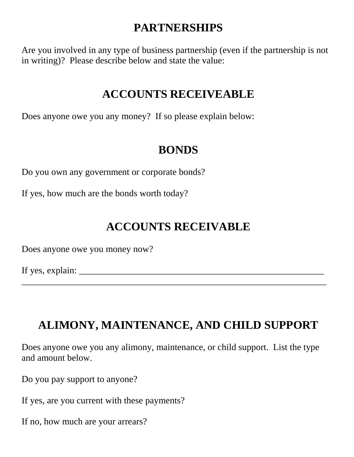### **PARTNERSHIPS**

Are you involved in any type of business partnership (even if the partnership is not in writing)? Please describe below and state the value:

#### **ACCOUNTS RECEIVEABLE**

Does anyone owe you any money? If so please explain below:

### **BONDS**

Do you own any government or corporate bonds?

If yes, how much are the bonds worth today?

## **ACCOUNTS RECEIVABLE**

Does anyone owe you money now?

If yes, explain:  $\frac{1}{\sqrt{1-\frac{1}{2}}\sqrt{1-\frac{1}{2}}\left\{1-\frac{1}{2}\left[\frac{1}{2}-\frac{1}{2}\right]\left[\frac{1}{2}-\frac{1}{2}\right]}$ 

### **ALIMONY, MAINTENANCE, AND CHILD SUPPORT**

 $\overline{\phantom{a}}$  , and the contribution of the contribution of the contribution of the contribution of the contribution of  $\overline{\phantom{a}}$ 

Does anyone owe you any alimony, maintenance, or child support. List the type and amount below.

Do you pay support to anyone?

If yes, are you current with these payments?

If no, how much are your arrears?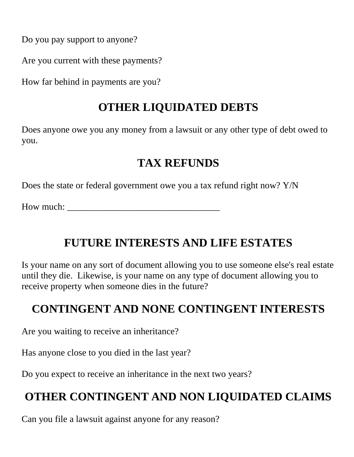Do you pay support to anyone?

Are you current with these payments?

How far behind in payments are you?

### **OTHER LIQUIDATED DEBTS**

Does anyone owe you any money from a lawsuit or any other type of debt owed to you.

### **TAX REFUNDS**

Does the state or federal government owe you a tax refund right now? Y/N

How much:

# **FUTURE INTERESTS AND LIFE ESTATES**

Is your name on any sort of document allowing you to use someone else's real estate until they die. Likewise, is your name on any type of document allowing you to receive property when someone dies in the future?

## **CONTINGENT AND NONE CONTINGENT INTERESTS**

Are you waiting to receive an inheritance?

Has anyone close to you died in the last year?

Do you expect to receive an inheritance in the next two years?

# **OTHER CONTINGENT AND NON LIQUIDATED CLAIMS**

Can you file a lawsuit against anyone for any reason?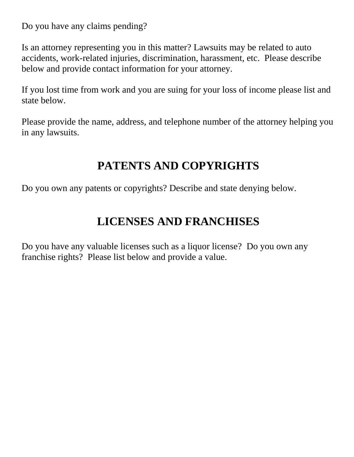Do you have any claims pending?

Is an attorney representing you in this matter? Lawsuits may be related to auto accidents, work-related injuries, discrimination, harassment, etc. Please describe below and provide contact information for your attorney.

If you lost time from work and you are suing for your loss of income please list and state below.

Please provide the name, address, and telephone number of the attorney helping you in any lawsuits.

### **PATENTS AND COPYRIGHTS**

Do you own any patents or copyrights? Describe and state denying below.

### **LICENSES AND FRANCHISES**

Do you have any valuable licenses such as a liquor license? Do you own any franchise rights? Please list below and provide a value.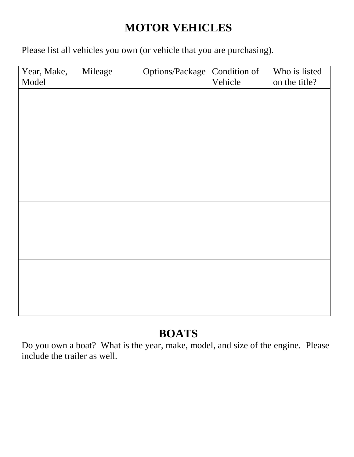# **MOTOR VEHICLES**

Please list all vehicles you own (or vehicle that you are purchasing).

| Year, Make,<br>Model | Mileage | Options/Package | Condition of<br>Vehicle | Who is listed<br>on the title? |
|----------------------|---------|-----------------|-------------------------|--------------------------------|
|                      |         |                 |                         |                                |
|                      |         |                 |                         |                                |
|                      |         |                 |                         |                                |
|                      |         |                 |                         |                                |
|                      |         |                 |                         |                                |
|                      |         |                 |                         |                                |
|                      |         |                 |                         |                                |
|                      |         |                 |                         |                                |
|                      |         |                 |                         |                                |
|                      |         |                 |                         |                                |
|                      |         |                 |                         |                                |
|                      |         |                 |                         |                                |

### **BOATS**

Do you own a boat? What is the year, make, model, and size of the engine. Please include the trailer as well.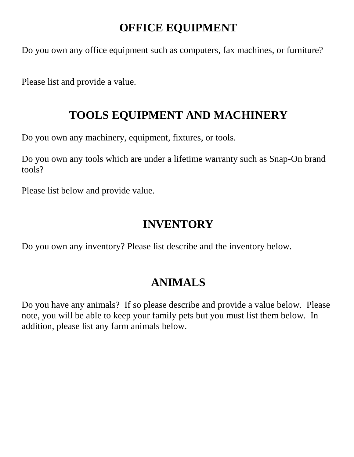### **OFFICE EQUIPMENT**

Do you own any office equipment such as computers, fax machines, or furniture?

Please list and provide a value.

#### **TOOLS EQUIPMENT AND MACHINERY**

Do you own any machinery, equipment, fixtures, or tools.

Do you own any tools which are under a lifetime warranty such as Snap-On brand tools?

Please list below and provide value.

#### **INVENTORY**

Do you own any inventory? Please list describe and the inventory below.

## **ANIMALS**

Do you have any animals? If so please describe and provide a value below. Please note, you will be able to keep your family pets but you must list them below. In addition, please list any farm animals below.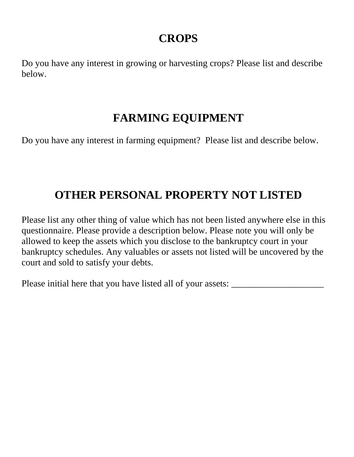#### **CROPS**

Do you have any interest in growing or harvesting crops? Please list and describe below.

### **FARMING EQUIPMENT**

Do you have any interest in farming equipment? Please list and describe below.

# **OTHER PERSONAL PROPERTY NOT LISTED**

Please list any other thing of value which has not been listed anywhere else in this questionnaire. Please provide a description below. Please note you will only be allowed to keep the assets which you disclose to the bankruptcy court in your bankruptcy schedules. Any valuables or assets not listed will be uncovered by the court and sold to satisfy your debts.

Please initial here that you have listed all of your assets: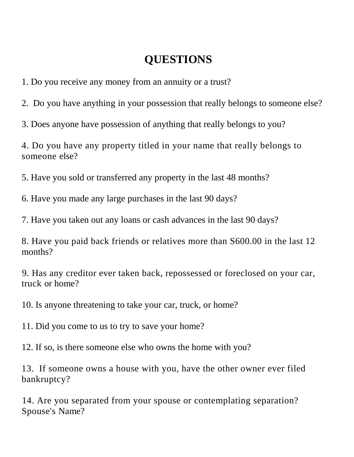### **QUESTIONS**

1. Do you receive any money from an annuity or a trust?

2. Do you have anything in your possession that really belongs to someone else?

3. Does anyone have possession of anything that really belongs to you?

4. Do you have any property titled in your name that really belongs to someone else?

5. Have you sold or transferred any property in the last 48 months?

6. Have you made any large purchases in the last 90 days?

7. Have you taken out any loans or cash advances in the last 90 days?

8. Have you paid back friends or relatives more than S600.00 in the last 12 months?

9. Has any creditor ever taken back, repossessed or foreclosed on your car, truck or home?

10. Is anyone threatening to take your car, truck, or home?

11. Did you come to us to try to save your home?

12. If so, is there someone else who owns the home with you?

13. If someone owns a house with you, have the other owner ever filed bankruptcy?

14. Are you separated from your spouse or contemplating separation? Spouse's Name?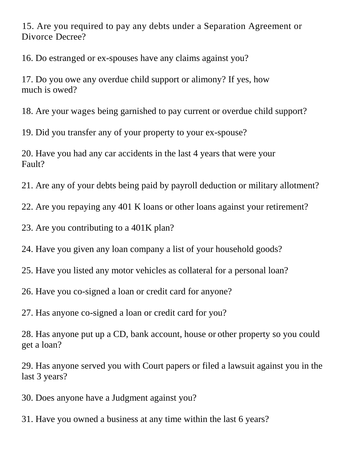15. Are you required to pay any debts under a Separation Agreement or Divorce Decree?

16. Do estranged or ex-spouses have any claims against you?

17. Do you owe any overdue child support or alimony? If yes, how much is owed?

18. Are your wages being garnished to pay current or overdue child support?

19. Did you transfer any of your property to your ex-spouse?

20. Have you had any car accidents in the last 4 years that were your Fault?

21. Are any of your debts being paid by payroll deduction or military allotment?

22. Are you repaying any 401 K loans or other loans against your retirement?

23. Are you contributing to a 401K plan?

24. Have you given any loan company a list of your household goods?

25. Have you listed any motor vehicles as collateral for a personal loan?

26. Have you co-signed a loan or credit card for anyone?

27. Has anyone co-signed a loan or credit card for you?

28. Has anyone put up a CD, bank account, house or other property so you could get a loan?

29. Has anyone served you with Court papers or filed a lawsuit against you in the last 3 years?

30. Does anyone have a Judgment against you?

31. Have you owned a business at any time within the last 6 years?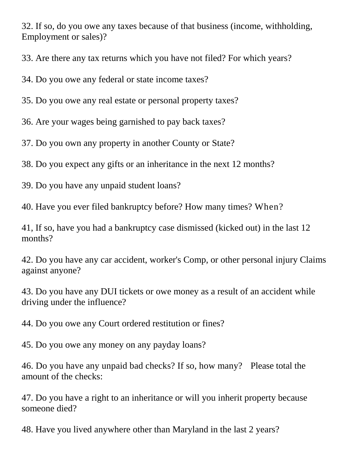32. If so, do you owe any taxes because of that business (income, withholding, Employment or sales)?

33. Are there any tax returns which you have not filed? For which years?

34. Do you owe any federal or state income taxes?

35. Do you owe any real estate or personal property taxes?

36. Are your wages being garnished to pay back taxes?

37. Do you own any property in another County or State?

38. Do you expect any gifts or an inheritance in the next 12 months?

39. Do you have any unpaid student loans?

40. Have you ever filed bankruptcy before? How many times? When?

41, If so, have you had a bankruptcy case dismissed (kicked out) in the last 12 months?

42. Do you have any car accident, worker's Comp, or other personal injury Claims against anyone?

43. Do you have any DUI tickets or owe money as a result of an accident while driving under the influence?

44. Do you owe any Court ordered restitution or fines?

45. Do you owe any money on any payday loans?

46. Do you have any unpaid bad checks? If so, how many? Please total the amount of the checks:

47. Do you have a right to an inheritance or will you inherit property because someone died?

48. Have you lived anywhere other than Maryland in the last 2 years?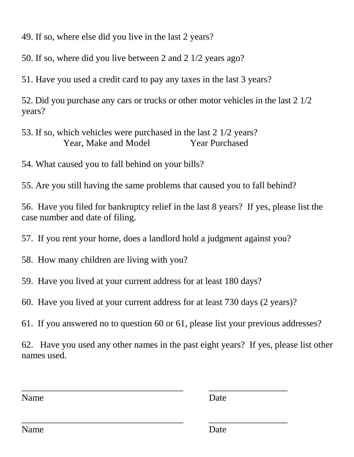49. If so, where else did you live in the last 2 years?

50. If so, where did you live between 2 and 2 1/2 years ago?

51. Have you used a credit card to pay any taxes in the last 3 years?

52. Did you purchase any cars or trucks or other motor vehicles in the last 2 1/2 years?

53. If so, which vehicles were purchased in the last 2 1/2 years? Year, Make and Model Year Purchased

54. What caused you to fall behind on your bills?

55. Are you still having the same problems that caused you to fall behind?

56. Have you filed for bankruptcy relief in the last 8 years? If yes, please list the case number and date of filing.

57. If you rent your home, does a landlord hold a judgment against you?

58. How many children are living with you?

59. Have you lived at your current address for at least 180 days?

60. Have you lived at your current address for at least 730 days (2 years)?

\_\_\_\_\_\_\_\_\_\_\_\_\_\_\_\_\_\_\_\_\_\_\_\_\_\_\_\_\_\_\_\_\_\_\_ \_\_\_\_\_\_\_\_\_\_\_\_\_\_\_\_\_

\_\_\_\_\_\_\_\_\_\_\_\_\_\_\_\_\_\_\_\_\_\_\_\_\_\_\_\_\_\_\_\_\_\_\_ \_\_\_\_\_\_\_\_\_\_\_\_\_\_\_\_\_

61. If you answered no to question 60 or 61, please list your previous addresses?

62. Have you used any other names in the past eight years? If yes, please list other names used.

Name Date

Name Date